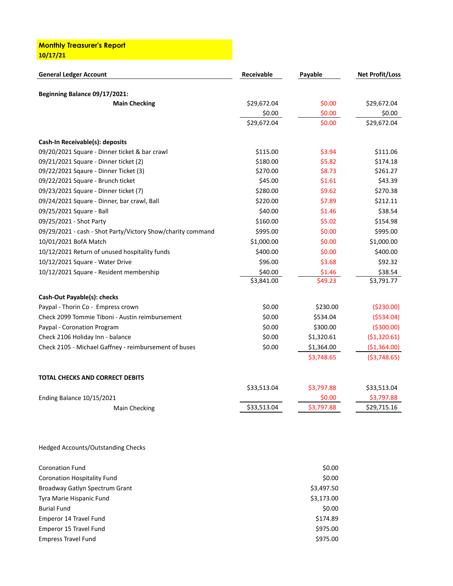**Monthly Treasurer's Report 10/17/21**

| <b>General Ledger Account</b>                               | Receivable  | Payable    | <b>Net Profit/Loss</b> |
|-------------------------------------------------------------|-------------|------------|------------------------|
| Beginning Balance 09/17/2021:                               |             |            |                        |
| <b>Main Checking</b>                                        | \$29,672.04 | \$0.00     | \$29,672.04            |
|                                                             | \$0.00      | \$0.00     | \$0.00                 |
|                                                             | \$29,672.04 | \$0.00     | \$29,672.04            |
| Cash-In Receivable(s): deposits                             |             |            |                        |
| 09/20/2021 Square - Dinner ticket & bar crawl               | \$115.00    | \$3.94     | \$111.06               |
| 09/21/2021 Square - Dinner ticket (2)                       | \$180.00    | \$5.82     | \$174.18               |
| 09/22/2021 Sqaure - Dinner Ticket (3)                       | \$270.00    | \$8.73     | \$261.27               |
| 09/22/2021 Square - Brunch ticket                           | \$45.00     | \$1.61     | \$43.39                |
| 09/23/2021 Square - Dinner ticket (7)                       | \$280.00    | \$9.62     | \$270.38               |
| 09/24/2021 Square - Dinner, bar crawl, Ball                 | \$220.00    | \$7.89     | \$212.11               |
| 09/25/2021 Square - Ball                                    | \$40.00     | \$1.46     | \$38.54                |
| 09/25/2021 - Shot Party                                     | \$160.00    | \$5.02     | \$154.98               |
| 09/29/2021 - cash - Shot Party/Victory Show/charity command | \$995.00    | \$0.00     | \$995.00               |
| 10/01/2021 BofA Match                                       | \$1,000.00  | \$0.00     | \$1,000.00             |
| 10/12/2021 Return of unused hospitality funds               | \$400.00    | \$0.00     | \$400.00               |
| 10/12/2021 Square - Water Drive                             | \$96.00     | \$3.68     | \$92.32                |
| 10/12/2021 Square - Resident membership                     | \$40.00     | \$1.46     | \$38.54                |
|                                                             | \$3,841.00  | \$49.23    | \$3,791.77             |
| Cash-Out Payable(s): checks                                 |             |            |                        |
| Paypal - Thorin Co - Empress crown                          | \$0.00      | \$230.00   | ( \$230.00)            |
| Check 2099 Tommie Tiboni - Austin reimbursement             | \$0.00      | \$534.04   | ( \$534.04)            |
| Paypal - Coronation Program                                 | \$0.00      | \$300.00   | ( \$300.00)            |
| Check 2106 Holiday Inn - balance                            | \$0.00      | \$1,320.61 | (\$1,320.61)           |
| Check 2105 - Michael Gaffney - reimbursement of buses       | \$0.00      | \$1,364.00 | (\$1,364.00)           |
|                                                             |             | \$3,748.65 | ( \$3,748.65)          |
| <b>TOTAL CHECKS AND CORRECT DEBITS</b>                      |             |            |                        |
|                                                             | \$33,513.04 | \$3,797.88 | \$33,513.04            |
| Ending Balance 10/15/2021                                   |             | \$0.00     | \$3,797.88             |
| Main Checking                                               | \$33,513.04 | \$3,797.88 | \$29,715.16            |
|                                                             |             |            |                        |

Hedged Accounts/Outstanding Checks

| <b>Coronation Fund</b>             | \$0.00     |
|------------------------------------|------------|
| <b>Coronation Hospitality Fund</b> | \$0.00     |
| Broadway Gatlyn Spectrum Grant     | \$3,497.50 |
| Tyra Marie Hispanic Fund           | \$3,173.00 |
| <b>Burial Fund</b>                 | \$0.00     |
| Emperor 14 Travel Fund             | \$174.89   |
| Emperor 15 Travel Fund             | \$975.00   |
| <b>Empress Travel Fund</b>         | \$975.00   |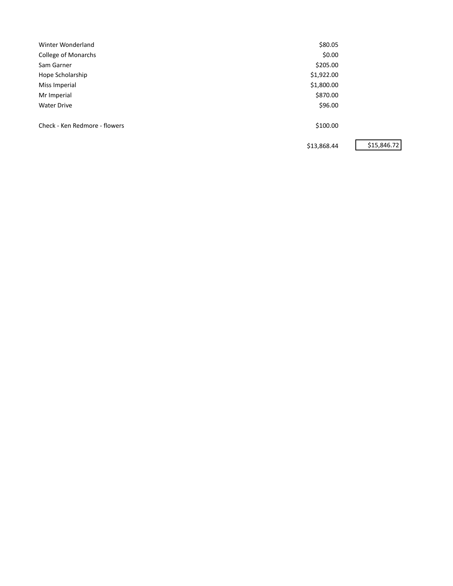| Winter Wonderland             | \$80.05     |             |
|-------------------------------|-------------|-------------|
| College of Monarchs           | \$0.00      |             |
| Sam Garner                    | \$205.00    |             |
| Hope Scholarship              | \$1,922.00  |             |
| Miss Imperial                 | \$1,800.00  |             |
| Mr Imperial                   | \$870.00    |             |
| <b>Water Drive</b>            | \$96.00     |             |
| Check - Ken Redmore - flowers | \$100.00    |             |
|                               | \$13,868.44 | \$15,846.72 |